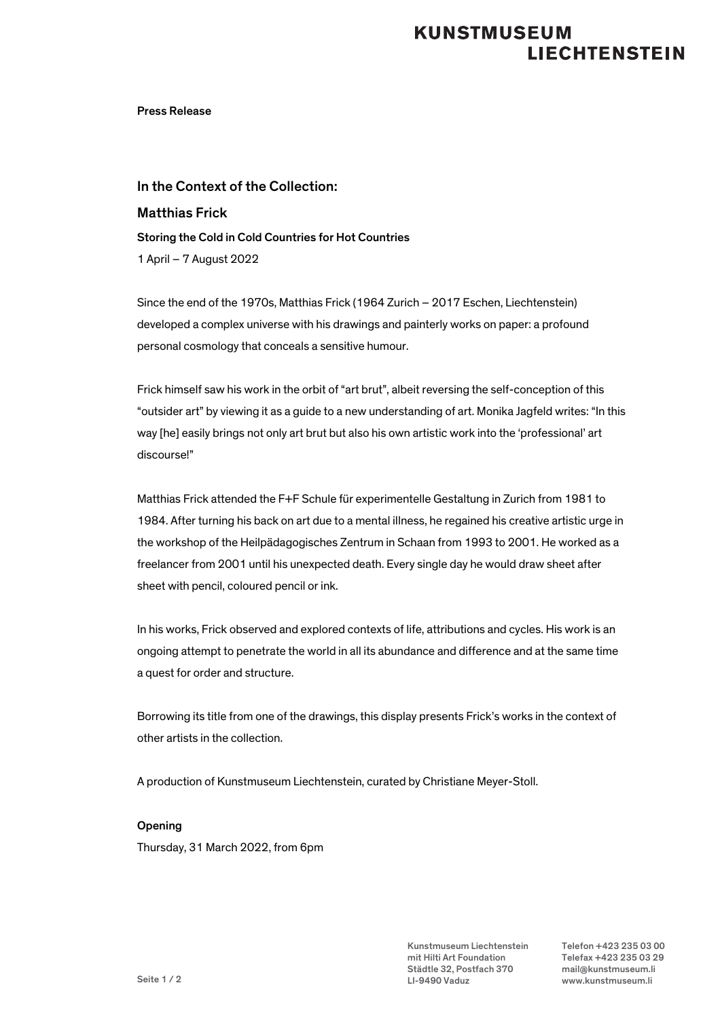## **KUNSTMUSEUM LIECHTENSTEIN**

Press Release

In the Context of the Collection: Matthias Frick Storing the Cold in Cold Countries for Hot Countries 1 April – 7 August 2022

Since the end of the 1970s, Matthias Frick (1964 Zurich – 2017 Eschen, Liechtenstein) developed a complex universe with his drawings and painterly works on paper: a profound personal cosmology that conceals a sensitive humour.

Frick himself saw his work in the orbit of "art brut", albeit reversing the self-conception of this "outsider art" by viewing it as a guide to a new understanding of art. Monika Jagfeld writes: "In this way [he] easily brings not only art brut but also his own artistic work into the 'professional' art discourse!"

Matthias Frick attended the F+F Schule für experimentelle Gestaltung in Zurich from 1981 to 1984. After turning his back on art due to a mental illness, he regained his creative artistic urge in the workshop of the Heilpädagogisches Zentrum in Schaan from 1993 to 2001. He worked as a freelancer from 2001 until his unexpected death. Every single day he would draw sheet after sheet with pencil, coloured pencil or ink.

In his works, Frick observed and explored contexts of life, attributions and cycles. His work is an ongoing attempt to penetrate the world in all its abundance and difference and at the same time a quest for order and structure.

Borrowing its title from one of the drawings, this display presents Frick's works in the context of other artists in the collection.

A production of Kunstmuseum Liechtenstein, curated by Christiane Meyer-Stoll.

#### Opening

Thursday, 31 March 2022, from 6pm